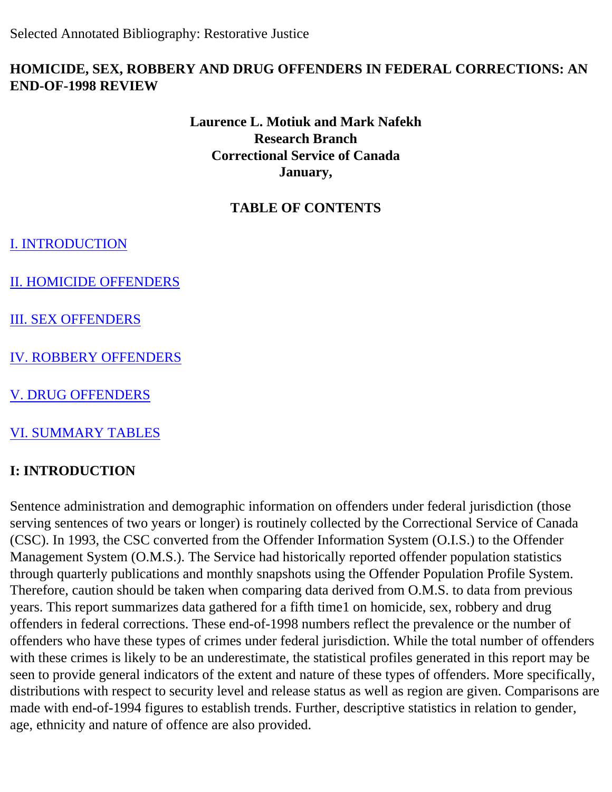Selected Annotated Bibliography: Restorative Justice

### **HOMICIDE, SEX, ROBBERY AND DRUG OFFENDERS IN FEDERAL CORRECTIONS: AN END-OF-1998 REVIEW**

## **Laurence L. Motiuk and Mark Nafekh Research Branch Correctional Service of Canada January,**

## **TABLE OF CONTENTS**

[I. INTRODUCTION](#page-0-0)

[II. HOMICIDE OFFENDERS](#page-1-0) 

[III. SEX OFFENDERS](#page-3-0)

[IV. ROBBERY OFFENDERS](#page-6-0) 

[V. DRUG OFFENDERS](#page-8-0)

[VI. SUMMARY TABLES](#page-10-0)

## <span id="page-0-0"></span>**I: INTRODUCTION**

Sentence administration and demographic information on offenders under federal jurisdiction (those serving sentences of two years or longer) is routinely collected by the Correctional Service of Canada (CSC). In 1993, the CSC converted from the Offender Information System (O.I.S.) to the Offender Management System (O.M.S.). The Service had historically reported offender population statistics through quarterly publications and monthly snapshots using the Offender Population Profile System. Therefore, caution should be taken when comparing data derived from O.M.S. to data from previous years. This report summarizes data gathered for a fifth time1 on homicide, sex, robbery and drug offenders in federal corrections. These end-of-1998 numbers reflect the prevalence or the number of offenders who have these types of crimes under federal jurisdiction. While the total number of offenders with these crimes is likely to be an underestimate, the statistical profiles generated in this report may be seen to provide general indicators of the extent and nature of these types of offenders. More specifically, distributions with respect to security level and release status as well as region are given. Comparisons are made with end-of-1994 figures to establish trends. Further, descriptive statistics in relation to gender, age, ethnicity and nature of offence are also provided.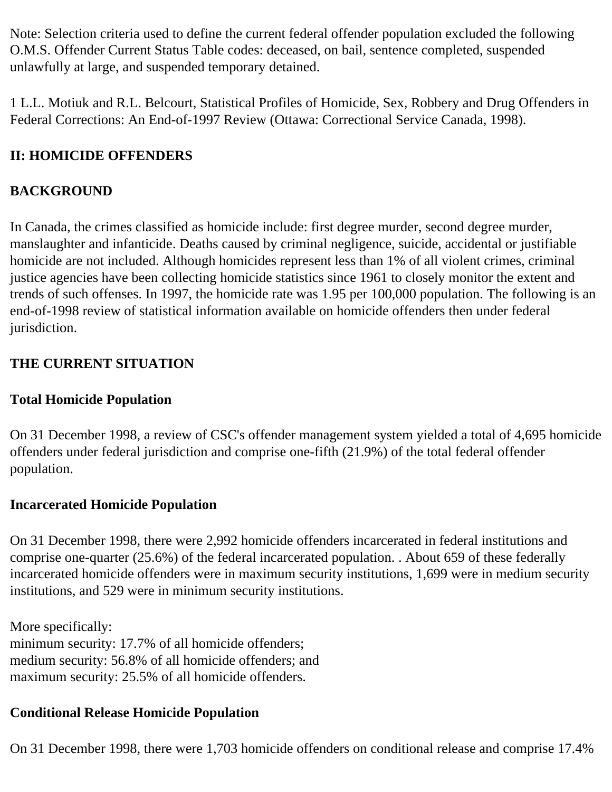Note: Selection criteria used to define the current federal offender population excluded the following O.M.S. Offender Current Status Table codes: deceased, on bail, sentence completed, suspended unlawfully at large, and suspended temporary detained.

1 L.L. Motiuk and R.L. Belcourt, Statistical Profiles of Homicide, Sex, Robbery and Drug Offenders in Federal Corrections: An End-of-1997 Review (Ottawa: Correctional Service Canada, 1998).

## <span id="page-1-0"></span>**II: HOMICIDE OFFENDERS**

## **BACKGROUND**

In Canada, the crimes classified as homicide include: first degree murder, second degree murder, manslaughter and infanticide. Deaths caused by criminal negligence, suicide, accidental or justifiable homicide are not included. Although homicides represent less than 1% of all violent crimes, criminal justice agencies have been collecting homicide statistics since 1961 to closely monitor the extent and trends of such offenses. In 1997, the homicide rate was 1.95 per 100,000 population. The following is an end-of-1998 review of statistical information available on homicide offenders then under federal jurisdiction.

## **THE CURRENT SITUATION**

## **Total Homicide Population**

On 31 December 1998, a review of CSC's offender management system yielded a total of 4,695 homicide offenders under federal jurisdiction and comprise one-fifth (21.9%) of the total federal offender population.

## **Incarcerated Homicide Population**

On 31 December 1998, there were 2,992 homicide offenders incarcerated in federal institutions and comprise one-quarter (25.6%) of the federal incarcerated population. . About 659 of these federally incarcerated homicide offenders were in maximum security institutions, 1,699 were in medium security institutions, and 529 were in minimum security institutions.

More specifically: minimum security: 17.7% of all homicide offenders; medium security: 56.8% of all homicide offenders; and maximum security: 25.5% of all homicide offenders.

# **Conditional Release Homicide Population**

On 31 December 1998, there were 1,703 homicide offenders on conditional release and comprise 17.4%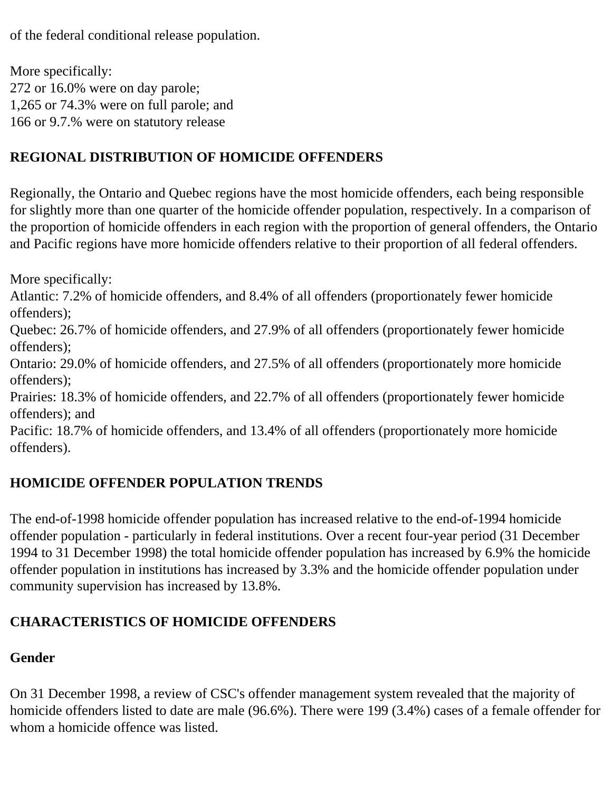of the federal conditional release population.

More specifically: 272 or 16.0% were on day parole; 1,265 or 74.3% were on full parole; and 166 or 9.7.% were on statutory release

## **REGIONAL DISTRIBUTION OF HOMICIDE OFFENDERS**

Regionally, the Ontario and Quebec regions have the most homicide offenders, each being responsible for slightly more than one quarter of the homicide offender population, respectively. In a comparison of the proportion of homicide offenders in each region with the proportion of general offenders, the Ontario and Pacific regions have more homicide offenders relative to their proportion of all federal offenders.

More specifically:

Atlantic: 7.2% of homicide offenders, and 8.4% of all offenders (proportionately fewer homicide offenders);

Quebec: 26.7% of homicide offenders, and 27.9% of all offenders (proportionately fewer homicide offenders);

Ontario: 29.0% of homicide offenders, and 27.5% of all offenders (proportionately more homicide offenders);

Prairies: 18.3% of homicide offenders, and 22.7% of all offenders (proportionately fewer homicide offenders); and

Pacific: 18.7% of homicide offenders, and 13.4% of all offenders (proportionately more homicide offenders).

## **HOMICIDE OFFENDER POPULATION TRENDS**

The end-of-1998 homicide offender population has increased relative to the end-of-1994 homicide offender population - particularly in federal institutions. Over a recent four-year period (31 December 1994 to 31 December 1998) the total homicide offender population has increased by 6.9% the homicide offender population in institutions has increased by 3.3% and the homicide offender population under community supervision has increased by 13.8%.

## **CHARACTERISTICS OF HOMICIDE OFFENDERS**

### **Gender**

On 31 December 1998, a review of CSC's offender management system revealed that the majority of homicide offenders listed to date are male (96.6%). There were 199 (3.4%) cases of a female offender for whom a homicide offence was listed.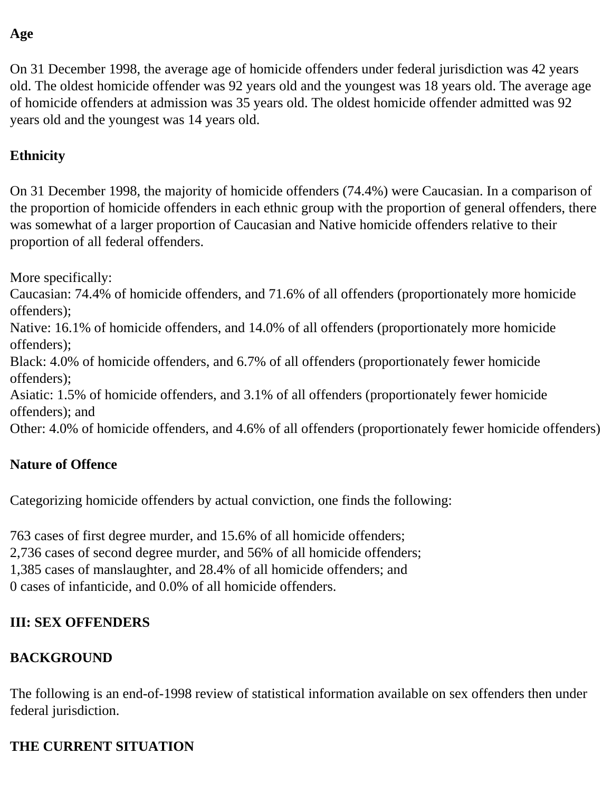### **Age**

On 31 December 1998, the average age of homicide offenders under federal jurisdiction was 42 years old. The oldest homicide offender was 92 years old and the youngest was 18 years old. The average age of homicide offenders at admission was 35 years old. The oldest homicide offender admitted was 92 years old and the youngest was 14 years old.

## **Ethnicity**

On 31 December 1998, the majority of homicide offenders (74.4%) were Caucasian. In a comparison of the proportion of homicide offenders in each ethnic group with the proportion of general offenders, there was somewhat of a larger proportion of Caucasian and Native homicide offenders relative to their proportion of all federal offenders.

More specifically:

Caucasian: 74.4% of homicide offenders, and 71.6% of all offenders (proportionately more homicide offenders);

Native: 16.1% of homicide offenders, and 14.0% of all offenders (proportionately more homicide offenders);

Black: 4.0% of homicide offenders, and 6.7% of all offenders (proportionately fewer homicide offenders);

Asiatic: 1.5% of homicide offenders, and 3.1% of all offenders (proportionately fewer homicide offenders); and

Other: 4.0% of homicide offenders, and 4.6% of all offenders (proportionately fewer homicide offenders)

## **Nature of Offence**

Categorizing homicide offenders by actual conviction, one finds the following:

763 cases of first degree murder, and 15.6% of all homicide offenders;

2,736 cases of second degree murder, and 56% of all homicide offenders;

1,385 cases of manslaughter, and 28.4% of all homicide offenders; and

0 cases of infanticide, and 0.0% of all homicide offenders.

## <span id="page-3-0"></span>**III: SEX OFFENDERS**

## **BACKGROUND**

The following is an end-of-1998 review of statistical information available on sex offenders then under federal jurisdiction.

## **THE CURRENT SITUATION**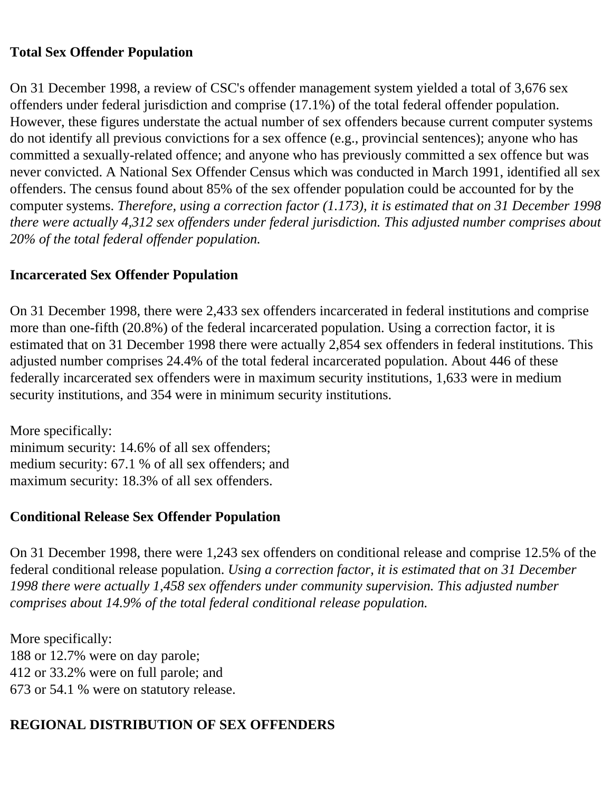#### **Total Sex Offender Population**

On 31 December 1998, a review of CSC's offender management system yielded a total of 3,676 sex offenders under federal jurisdiction and comprise (17.1%) of the total federal offender population. However, these figures understate the actual number of sex offenders because current computer systems do not identify all previous convictions for a sex offence (e.g., provincial sentences); anyone who has committed a sexually-related offence; and anyone who has previously committed a sex offence but was never convicted. A National Sex Offender Census which was conducted in March 1991, identified all sex offenders. The census found about 85% of the sex offender population could be accounted for by the computer systems. *Therefore, using a correction factor (1.173), it is estimated that on 31 December 1998 there were actually 4,312 sex offenders under federal jurisdiction. This adjusted number comprises about 20% of the total federal offender population.* 

#### **Incarcerated Sex Offender Population**

On 31 December 1998, there were 2,433 sex offenders incarcerated in federal institutions and comprise more than one-fifth (20.8%) of the federal incarcerated population. Using a correction factor, it is estimated that on 31 December 1998 there were actually 2,854 sex offenders in federal institutions. This adjusted number comprises 24.4% of the total federal incarcerated population. About 446 of these federally incarcerated sex offenders were in maximum security institutions, 1,633 were in medium security institutions, and 354 were in minimum security institutions.

More specifically: minimum security: 14.6% of all sex offenders; medium security: 67.1 % of all sex offenders; and maximum security: 18.3% of all sex offenders.

## **Conditional Release Sex Offender Population**

On 31 December 1998, there were 1,243 sex offenders on conditional release and comprise 12.5% of the federal conditional release population. *Using a correction factor, it is estimated that on 31 December 1998 there were actually 1,458 sex offenders under community supervision. This adjusted number comprises about 14.9% of the total federal conditional release population.* 

More specifically: 188 or 12.7% were on day parole; 412 or 33.2% were on full parole; and 673 or 54.1 % were on statutory release.

# **REGIONAL DISTRIBUTION OF SEX OFFENDERS**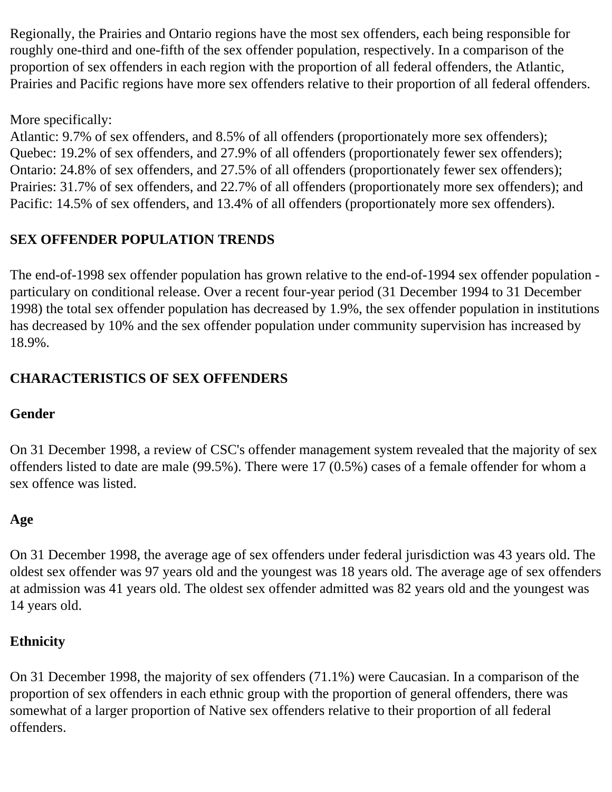Regionally, the Prairies and Ontario regions have the most sex offenders, each being responsible for roughly one-third and one-fifth of the sex offender population, respectively. In a comparison of the proportion of sex offenders in each region with the proportion of all federal offenders, the Atlantic, Prairies and Pacific regions have more sex offenders relative to their proportion of all federal offenders.

More specifically:

Atlantic: 9.7% of sex offenders, and 8.5% of all offenders (proportionately more sex offenders); Quebec: 19.2% of sex offenders, and 27.9% of all offenders (proportionately fewer sex offenders); Ontario: 24.8% of sex offenders, and 27.5% of all offenders (proportionately fewer sex offenders); Prairies: 31.7% of sex offenders, and 22.7% of all offenders (proportionately more sex offenders); and Pacific: 14.5% of sex offenders, and 13.4% of all offenders (proportionately more sex offenders).

## **SEX OFFENDER POPULATION TRENDS**

The end-of-1998 sex offender population has grown relative to the end-of-1994 sex offender population particulary on conditional release. Over a recent four-year period (31 December 1994 to 31 December 1998) the total sex offender population has decreased by 1.9%, the sex offender population in institutions has decreased by 10% and the sex offender population under community supervision has increased by 18.9%.

## **CHARACTERISTICS OF SEX OFFENDERS**

## **Gender**

On 31 December 1998, a review of CSC's offender management system revealed that the majority of sex offenders listed to date are male (99.5%). There were 17 (0.5%) cases of a female offender for whom a sex offence was listed.

## **Age**

On 31 December 1998, the average age of sex offenders under federal jurisdiction was 43 years old. The oldest sex offender was 97 years old and the youngest was 18 years old. The average age of sex offenders at admission was 41 years old. The oldest sex offender admitted was 82 years old and the youngest was 14 years old.

## **Ethnicity**

On 31 December 1998, the majority of sex offenders (71.1%) were Caucasian. In a comparison of the proportion of sex offenders in each ethnic group with the proportion of general offenders, there was somewhat of a larger proportion of Native sex offenders relative to their proportion of all federal offenders.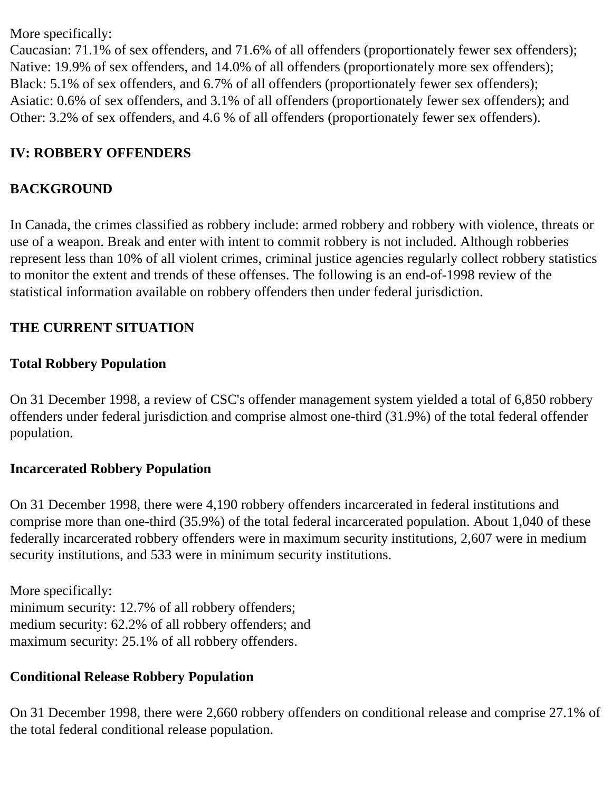More specifically:

Caucasian: 71.1% of sex offenders, and 71.6% of all offenders (proportionately fewer sex offenders); Native: 19.9% of sex offenders, and 14.0% of all offenders (proportionately more sex offenders); Black: 5.1% of sex offenders, and 6.7% of all offenders (proportionately fewer sex offenders); Asiatic: 0.6% of sex offenders, and 3.1% of all offenders (proportionately fewer sex offenders); and Other: 3.2% of sex offenders, and 4.6 % of all offenders (proportionately fewer sex offenders).

## <span id="page-6-0"></span>**IV: ROBBERY OFFENDERS**

### **BACKGROUND**

In Canada, the crimes classified as robbery include: armed robbery and robbery with violence, threats or use of a weapon. Break and enter with intent to commit robbery is not included. Although robberies represent less than 10% of all violent crimes, criminal justice agencies regularly collect robbery statistics to monitor the extent and trends of these offenses. The following is an end-of-1998 review of the statistical information available on robbery offenders then under federal jurisdiction.

### **THE CURRENT SITUATION**

#### **Total Robbery Population**

On 31 December 1998, a review of CSC's offender management system yielded a total of 6,850 robbery offenders under federal jurisdiction and comprise almost one-third (31.9%) of the total federal offender population.

### **Incarcerated Robbery Population**

On 31 December 1998, there were 4,190 robbery offenders incarcerated in federal institutions and comprise more than one-third (35.9%) of the total federal incarcerated population. About 1,040 of these federally incarcerated robbery offenders were in maximum security institutions, 2,607 were in medium security institutions, and 533 were in minimum security institutions.

More specifically: minimum security: 12.7% of all robbery offenders; medium security: 62.2% of all robbery offenders; and maximum security: 25.1% of all robbery offenders.

### **Conditional Release Robbery Population**

On 31 December 1998, there were 2,660 robbery offenders on conditional release and comprise 27.1% of the total federal conditional release population.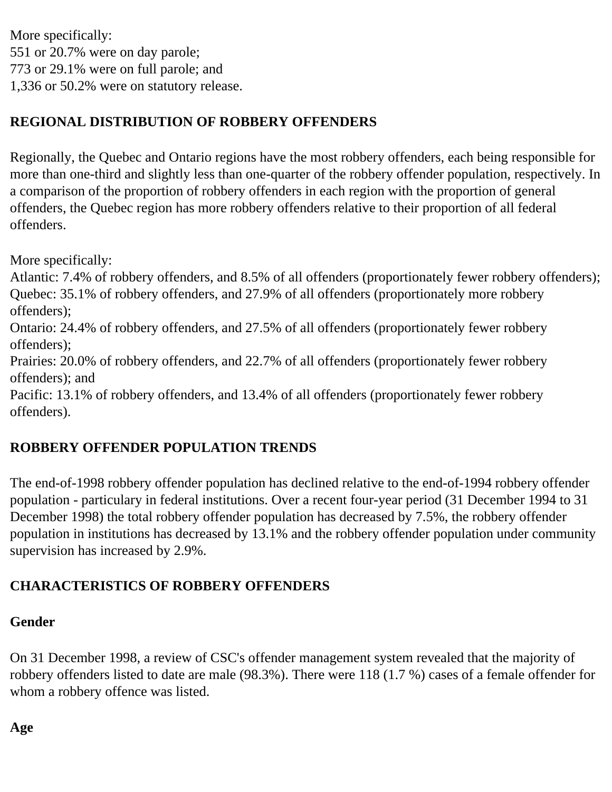More specifically: 551 or 20.7% were on day parole; 773 or 29.1% were on full parole; and 1,336 or 50.2% were on statutory release.

## **REGIONAL DISTRIBUTION OF ROBBERY OFFENDERS**

Regionally, the Quebec and Ontario regions have the most robbery offenders, each being responsible for more than one-third and slightly less than one-quarter of the robbery offender population, respectively. In a comparison of the proportion of robbery offenders in each region with the proportion of general offenders, the Quebec region has more robbery offenders relative to their proportion of all federal offenders.

More specifically:

Atlantic: 7.4% of robbery offenders, and 8.5% of all offenders (proportionately fewer robbery offenders); Quebec: 35.1% of robbery offenders, and 27.9% of all offenders (proportionately more robbery offenders);

Ontario: 24.4% of robbery offenders, and 27.5% of all offenders (proportionately fewer robbery offenders);

Prairies: 20.0% of robbery offenders, and 22.7% of all offenders (proportionately fewer robbery offenders); and

Pacific: 13.1% of robbery offenders, and 13.4% of all offenders (proportionately fewer robbery offenders).

# **ROBBERY OFFENDER POPULATION TRENDS**

The end-of-1998 robbery offender population has declined relative to the end-of-1994 robbery offender population - particulary in federal institutions. Over a recent four-year period (31 December 1994 to 31 December 1998) the total robbery offender population has decreased by 7.5%, the robbery offender population in institutions has decreased by 13.1% and the robbery offender population under community supervision has increased by 2.9%.

# **CHARACTERISTICS OF ROBBERY OFFENDERS**

## **Gender**

On 31 December 1998, a review of CSC's offender management system revealed that the majority of robbery offenders listed to date are male (98.3%). There were 118 (1.7 %) cases of a female offender for whom a robbery offence was listed.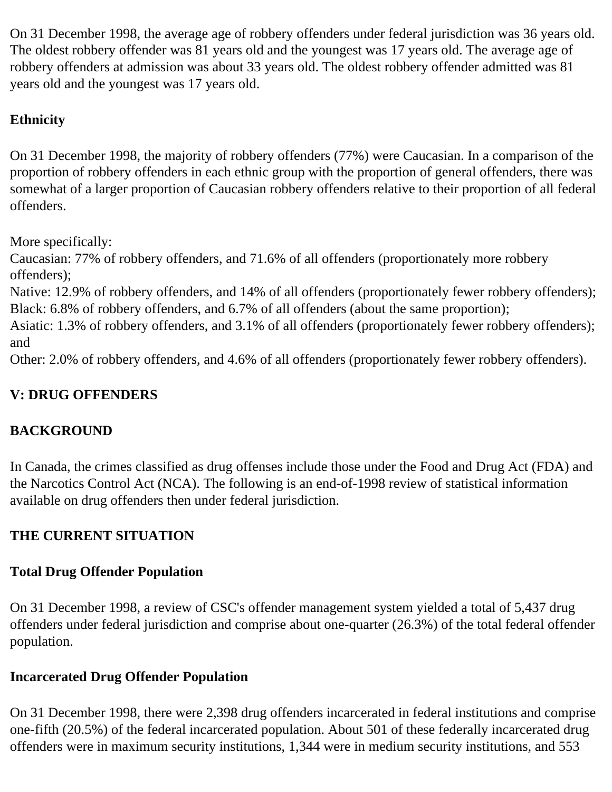On 31 December 1998, the average age of robbery offenders under federal jurisdiction was 36 years old. The oldest robbery offender was 81 years old and the youngest was 17 years old. The average age of robbery offenders at admission was about 33 years old. The oldest robbery offender admitted was 81 years old and the youngest was 17 years old.

## **Ethnicity**

On 31 December 1998, the majority of robbery offenders (77%) were Caucasian. In a comparison of the proportion of robbery offenders in each ethnic group with the proportion of general offenders, there was somewhat of a larger proportion of Caucasian robbery offenders relative to their proportion of all federal offenders.

More specifically:

Caucasian: 77% of robbery offenders, and 71.6% of all offenders (proportionately more robbery offenders);

Native: 12.9% of robbery offenders, and 14% of all offenders (proportionately fewer robbery offenders); Black: 6.8% of robbery offenders, and 6.7% of all offenders (about the same proportion);

Asiatic: 1.3% of robbery offenders, and 3.1% of all offenders (proportionately fewer robbery offenders); and

Other: 2.0% of robbery offenders, and 4.6% of all offenders (proportionately fewer robbery offenders).

# <span id="page-8-0"></span>**V: DRUG OFFENDERS**

# **BACKGROUND**

In Canada, the crimes classified as drug offenses include those under the Food and Drug Act (FDA) and the Narcotics Control Act (NCA). The following is an end-of-1998 review of statistical information available on drug offenders then under federal jurisdiction.

# **THE CURRENT SITUATION**

# **Total Drug Offender Population**

On 31 December 1998, a review of CSC's offender management system yielded a total of 5,437 drug offenders under federal jurisdiction and comprise about one-quarter (26.3%) of the total federal offender population.

# **Incarcerated Drug Offender Population**

On 31 December 1998, there were 2,398 drug offenders incarcerated in federal institutions and comprise one-fifth (20.5%) of the federal incarcerated population. About 501 of these federally incarcerated drug offenders were in maximum security institutions, 1,344 were in medium security institutions, and 553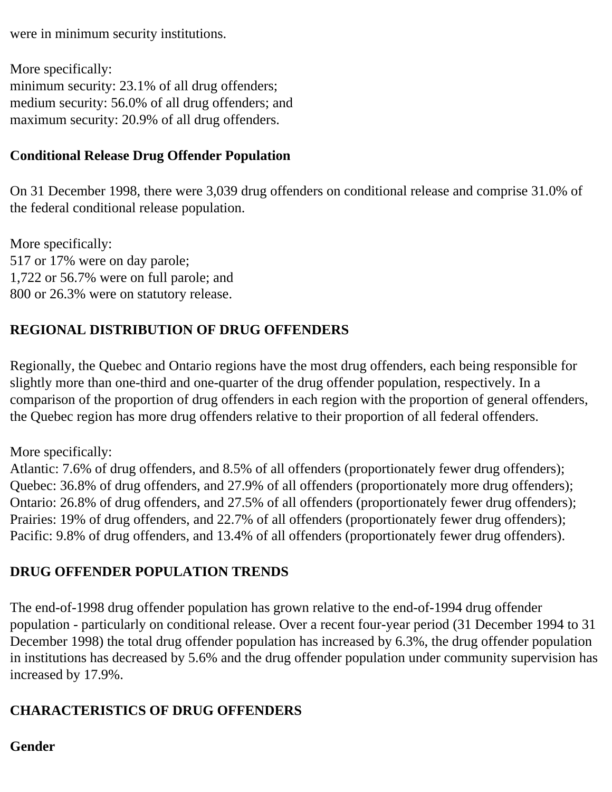were in minimum security institutions.

More specifically: minimum security: 23.1% of all drug offenders; medium security: 56.0% of all drug offenders; and maximum security: 20.9% of all drug offenders.

### **Conditional Release Drug Offender Population**

On 31 December 1998, there were 3,039 drug offenders on conditional release and comprise 31.0% of the federal conditional release population.

More specifically: 517 or 17% were on day parole; 1,722 or 56.7% were on full parole; and 800 or 26.3% were on statutory release.

## **REGIONAL DISTRIBUTION OF DRUG OFFENDERS**

Regionally, the Quebec and Ontario regions have the most drug offenders, each being responsible for slightly more than one-third and one-quarter of the drug offender population, respectively. In a comparison of the proportion of drug offenders in each region with the proportion of general offenders, the Quebec region has more drug offenders relative to their proportion of all federal offenders.

More specifically:

Atlantic: 7.6% of drug offenders, and 8.5% of all offenders (proportionately fewer drug offenders); Quebec: 36.8% of drug offenders, and 27.9% of all offenders (proportionately more drug offenders); Ontario: 26.8% of drug offenders, and 27.5% of all offenders (proportionately fewer drug offenders); Prairies: 19% of drug offenders, and 22.7% of all offenders (proportionately fewer drug offenders); Pacific: 9.8% of drug offenders, and 13.4% of all offenders (proportionately fewer drug offenders).

## **DRUG OFFENDER POPULATION TRENDS**

The end-of-1998 drug offender population has grown relative to the end-of-1994 drug offender population - particularly on conditional release. Over a recent four-year period (31 December 1994 to 31 December 1998) the total drug offender population has increased by 6.3%, the drug offender population in institutions has decreased by 5.6% and the drug offender population under community supervision has increased by 17.9%.

## **CHARACTERISTICS OF DRUG OFFENDERS**

**Gender**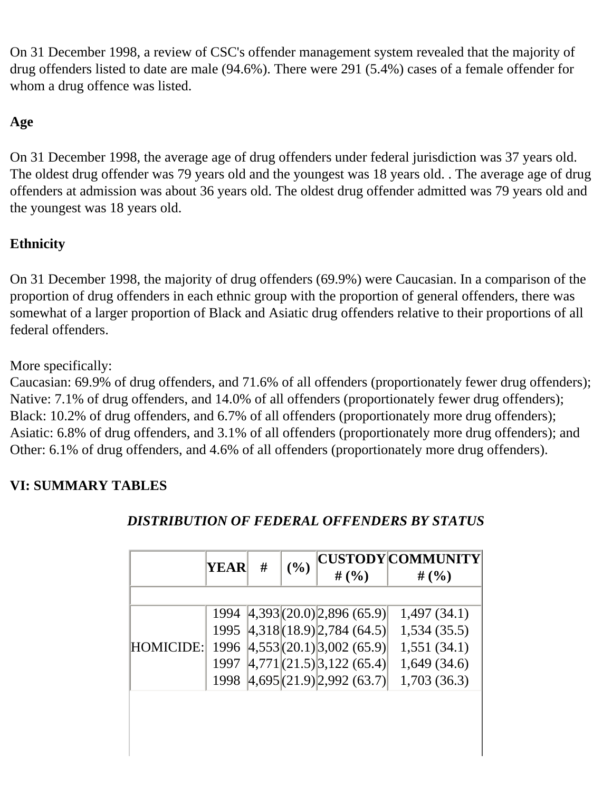On 31 December 1998, a review of CSC's offender management system revealed that the majority of drug offenders listed to date are male (94.6%). There were 291 (5.4%) cases of a female offender for whom a drug offence was listed.

## **Age**

On 31 December 1998, the average age of drug offenders under federal jurisdiction was 37 years old. The oldest drug offender was 79 years old and the youngest was 18 years old. . The average age of drug offenders at admission was about 36 years old. The oldest drug offender admitted was 79 years old and the youngest was 18 years old.

## **Ethnicity**

On 31 December 1998, the majority of drug offenders (69.9%) were Caucasian. In a comparison of the proportion of drug offenders in each ethnic group with the proportion of general offenders, there was somewhat of a larger proportion of Black and Asiatic drug offenders relative to their proportions of all federal offenders.

More specifically:

Caucasian: 69.9% of drug offenders, and 71.6% of all offenders (proportionately fewer drug offenders); Native: 7.1% of drug offenders, and 14.0% of all offenders (proportionately fewer drug offenders); Black: 10.2% of drug offenders, and 6.7% of all offenders (proportionately more drug offenders); Asiatic: 6.8% of drug offenders, and 3.1% of all offenders (proportionately more drug offenders); and Other: 6.1% of drug offenders, and 4.6% of all offenders (proportionately more drug offenders).

## <span id="page-10-0"></span>**VI: SUMMARY TABLES**

|           | YEAR | # | (%) | # $(\% )$                            | CUSTODY COMMUNITY <br># $(%$ |
|-----------|------|---|-----|--------------------------------------|------------------------------|
|           |      |   |     |                                      |                              |
|           | 1994 |   |     | $ 4,393 $ (20.0) 2,896 (65.9)        | 1,497(34.1)                  |
| HOMICIDE: |      |   |     | 1995 4,318 (18.9) 2,784 (64.5)       | 1,534(35.5)                  |
|           |      |   |     | 1996 $ 4,553(20.1) 3,002(65.9) $     | 1,551(34.1)                  |
|           | 1997 |   |     | $ 4,771 $ $(21.5)$ $ 3,122$ $(65.4)$ | 1,649(34.6)                  |
|           | 1998 |   |     | $ 4,695 $ (21.9) 2,992 (63.7)        | 1,703(36.3)                  |
|           |      |   |     |                                      |                              |
|           |      |   |     |                                      |                              |
|           |      |   |     |                                      |                              |
|           |      |   |     |                                      |                              |

## *DISTRIBUTION OF FEDERAL OFFENDERS BY STATUS*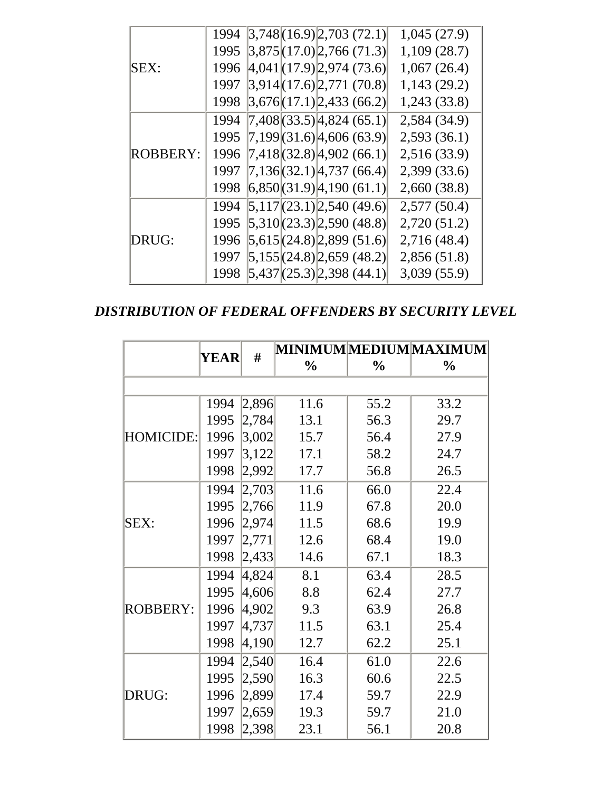|                 | 1994 |  |                                   | 3,748(16.9)2,703(72.1)             | 1,045(27.9)  |
|-----------------|------|--|-----------------------------------|------------------------------------|--------------|
|                 | 1995 |  | $ 3,875 $ (17.0) $ 2,766(71.3) $  |                                    | 1,109(28.7)  |
| SEX:            | 1996 |  |                                   | $ 4,041 $ (17.9) 2,974 (73.6)      | 1,067(26.4)  |
|                 | 1997 |  | 3,914(17.6)2,771(70.8)            |                                    | 1,143(29.2)  |
|                 | 1998 |  |                                   | 3,676  (17.1)   2,433   (66.2)     | 1,243 (33.8) |
|                 | 1994 |  |                                   | $(7,408)(33.5)$ 4,824 (65.1)       | 2,584 (34.9) |
|                 | 1995 |  | $(7,199(31.6)\,4,606(63.9))$      |                                    | 2,593(36.1)  |
| <b>ROBBERY:</b> | 1996 |  | (7,418)(32.8)4,902(66.1)          |                                    | 2,516 (33.9) |
|                 | 1997 |  | $(7,136)(32.1)$ $(4,737)(66.4)$   |                                    | 2,399 (33.6) |
|                 | 1998 |  |                                   | $ 6,850 $ (31.9) $ 4,190$ (61.1)   | 2,660 (38.8) |
|                 | 1994 |  |                                   | $ 5,117 $ $(23.1)$ $ 2,540$ (49.6) | 2,577(50.4)  |
| DRUG:           | 1995 |  | $ 5,310 $ (23.3) 2,590 (48.8)     |                                    | 2,720 (51.2) |
|                 | 1996 |  | $ 5,615 $ (24.8) 2,899 (51.6)     |                                    | 2,716 (48.4) |
|                 | 1997 |  | $ 5,155 $ (24.8) $ 2,659$ (48.2)  |                                    | 2,856(51.8)  |
|                 | 1998 |  | $ 5,437 $ $(25.3) 2,398$ $(44.1)$ |                                    | 3,039 (55.9) |

*DISTRIBUTION OF FEDERAL OFFENDERS BY SECURITY LEVEL* 

|                  |      | #     |               |               | MINIMUM MEDIUM MAXIMUM |
|------------------|------|-------|---------------|---------------|------------------------|
|                  | YEAR |       | $\frac{0}{0}$ | $\frac{0}{0}$ | $\frac{0}{0}$          |
|                  |      |       |               |               |                        |
|                  | 1994 | 2,896 | 11.6          | 55.2          | 33.2                   |
|                  | 1995 | 2,784 | 13.1          | 56.3          | 29.7                   |
| <b>HOMICIDE:</b> | 1996 | 3,002 | 15.7          | 56.4          | 27.9                   |
|                  | 1997 | 3,122 | 17.1          | 58.2          | 24.7                   |
|                  | 1998 | 2,992 | 17.7          | 56.8          | 26.5                   |
|                  | 1994 | 2,703 | 11.6          | 66.0          | 22.4                   |
|                  | 1995 | 2,766 | 11.9          | 67.8          | 20.0                   |
| SEX:             | 1996 | 2,974 | 11.5          | 68.6          | 19.9                   |
|                  | 1997 | 2,771 | 12.6          | 68.4          | 19.0                   |
|                  | 1998 | 2,433 | 14.6          | 67.1          | 18.3                   |
|                  | 1994 | 4,824 | 8.1           | 63.4          | 28.5                   |
|                  | 1995 | 4,606 | 8.8           | 62.4          | 27.7                   |
| <b>ROBBERY:</b>  | 1996 | 4,902 | 9.3           | 63.9          | 26.8                   |
|                  | 1997 | 4,737 | 11.5          | 63.1          | 25.4                   |
|                  | 1998 | 4,190 | 12.7          | 62.2          | 25.1                   |
|                  | 1994 | 2,540 | 16.4          | 61.0          | 22.6                   |
|                  | 1995 | 2,590 | 16.3          | 60.6          | 22.5                   |
| DRUG:            | 1996 | 2,899 | 17.4          | 59.7          | 22.9                   |
|                  | 1997 | 2,659 | 19.3          | 59.7          | 21.0                   |
|                  | 1998 | 2,398 | 23.1          | 56.1          | 20.8                   |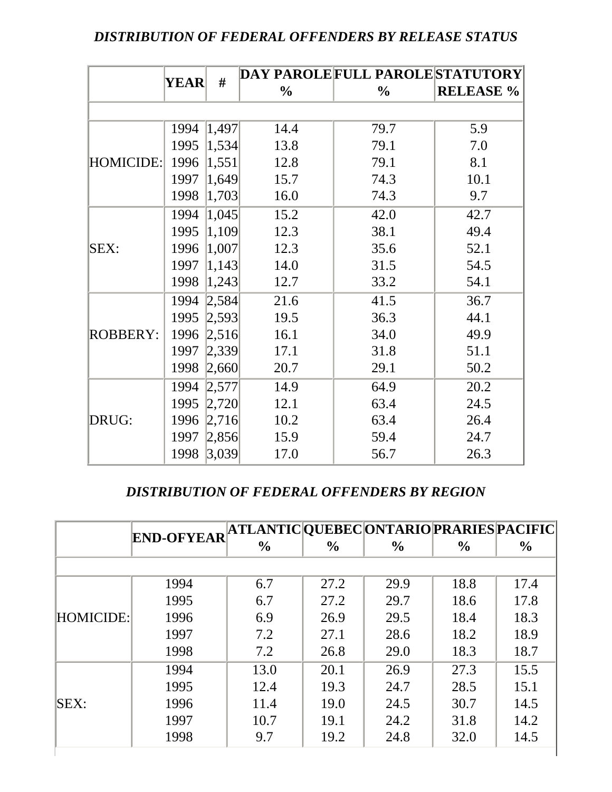#### *DISTRIBUTION OF FEDERAL OFFENDERS BY RELEASE STATUS*

|                 |                  |       |               | DAY PAROLE FULL PAROLE STATUTORY |                  |
|-----------------|------------------|-------|---------------|----------------------------------|------------------|
|                 | #<br><b>YEAR</b> |       | $\frac{0}{0}$ | $\frac{0}{0}$                    | <b>RELEASE %</b> |
|                 |                  |       |               |                                  |                  |
|                 | 1994             | 1,497 | 14.4          | 79.7                             | 5.9              |
|                 | 1995             | 1,534 | 13.8          | 79.1                             | 7.0              |
| HOMICIDE:       | 1996             | 1,551 | 12.8          | 79.1                             | 8.1              |
|                 | 1997             | 1,649 | 15.7          | 74.3                             | 10.1             |
|                 | 1998             | 1,703 | 16.0          | 74.3                             | 9.7              |
| SEX:            | 1994             | 1,045 | 15.2          | 42.0                             | 42.7             |
|                 | 1995             | 1,109 | 12.3          | 38.1                             | 49.4             |
|                 | 1996             | 1,007 | 12.3          | 35.6                             | 52.1             |
|                 | 1997             | 1,143 | 14.0          | 31.5                             | 54.5             |
|                 | 1998             | 1,243 | 12.7          | 33.2                             | 54.1             |
|                 | 1994             | 2,584 | 21.6          | 41.5                             | 36.7             |
|                 | 1995             | 2,593 | 19.5          | 36.3                             | 44.1             |
| <b>ROBBERY:</b> | 1996             | 2,516 | 16.1          | 34.0                             | 49.9             |
|                 | 1997             | 2,339 | 17.1          | 31.8                             | 51.1             |
|                 | 1998             | 2,660 | 20.7          | 29.1                             | 50.2             |
|                 | 1994             | 2,577 | 14.9          | 64.9                             | 20.2             |
|                 | 1995             | 2,720 | 12.1          | 63.4                             | 24.5             |
| DRUG:           | 1996             | 2,716 | 10.2          | 63.4                             | 26.4             |
|                 | 1997             | 2,856 | 15.9          | 59.4                             | 24.7             |
|                 | 1998             | 3,039 | 17.0          | 56.7                             | 26.3             |

#### *DISTRIBUTION OF FEDERAL OFFENDERS BY REGION*

|                  | <b>END-OFYEAR</b> | ATLANTIC  QUEBEC  ONTARIO  PRARIES  PACIFIC |               |               |               |               |
|------------------|-------------------|---------------------------------------------|---------------|---------------|---------------|---------------|
|                  |                   | $\frac{0}{0}$                               | $\frac{6}{9}$ | $\frac{0}{0}$ | $\frac{0}{0}$ | $\frac{6}{9}$ |
|                  |                   |                                             |               |               |               |               |
|                  | 1994              | 6.7                                         | 27.2          | 29.9          | 18.8          | 17.4          |
|                  | 1995              | 6.7                                         | 27.2          | 29.7          | 18.6          | 17.8          |
| <b>HOMICIDE:</b> | 1996              | 6.9                                         | 26.9          | 29.5          | 18.4          | 18.3          |
|                  | 1997              | 7.2                                         | 27.1          | 28.6          | 18.2          | 18.9          |
|                  | 1998              | 7.2                                         | 26.8          | 29.0          | 18.3          | 18.7          |
|                  | 1994              | 13.0                                        | 20.1          | 26.9          | 27.3          | 15.5          |
|                  | 1995              | 12.4                                        | 19.3          | 24.7          | 28.5          | 15.1          |
| SEX:             | 1996              | 11.4                                        | 19.0          | 24.5          | 30.7          | 14.5          |
|                  | 1997              | 10.7                                        | 19.1          | 24.2          | 31.8          | 14.2          |
|                  | 1998              | 9.7                                         | 19.2          | 24.8          | 32.0          | 14.5          |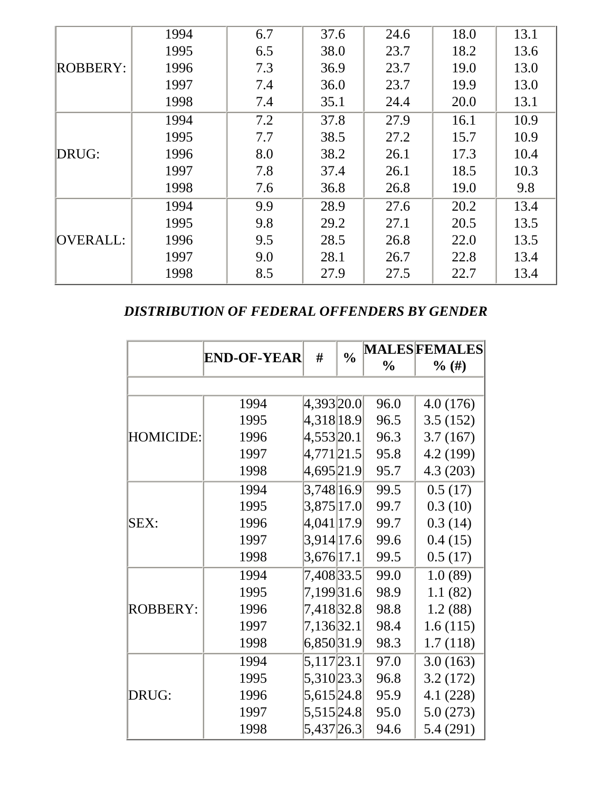|                 | 1994 | 6.7 | 37.6 | 24.6 | 18.0 | 13.1 |
|-----------------|------|-----|------|------|------|------|
|                 | 1995 | 6.5 | 38.0 | 23.7 | 18.2 | 13.6 |
| ROBBERY:        | 1996 | 7.3 | 36.9 | 23.7 | 19.0 | 13.0 |
|                 | 1997 | 7.4 | 36.0 | 23.7 | 19.9 | 13.0 |
|                 | 1998 | 7.4 | 35.1 | 24.4 | 20.0 | 13.1 |
|                 | 1994 | 7.2 | 37.8 | 27.9 | 16.1 | 10.9 |
|                 | 1995 | 7.7 | 38.5 | 27.2 | 15.7 | 10.9 |
| DRUG:           | 1996 | 8.0 | 38.2 | 26.1 | 17.3 | 10.4 |
|                 | 1997 | 7.8 | 37.4 | 26.1 | 18.5 | 10.3 |
|                 | 1998 | 7.6 | 36.8 | 26.8 | 19.0 | 9.8  |
|                 | 1994 | 9.9 | 28.9 | 27.6 | 20.2 | 13.4 |
|                 | 1995 | 9.8 | 29.2 | 27.1 | 20.5 | 13.5 |
| <b>OVERALL:</b> | 1996 | 9.5 | 28.5 | 26.8 | 22.0 | 13.5 |
|                 | 1997 | 9.0 | 28.1 | 26.7 | 22.8 | 13.4 |
|                 | 1998 | 8.5 | 27.9 | 27.5 | 22.7 | 13.4 |

*DISTRIBUTION OF FEDERAL OFFENDERS BY GENDER* 

|                  |                    |            | $\frac{0}{0}$ | <b>MALESFEMALES</b> |           |  |
|------------------|--------------------|------------|---------------|---------------------|-----------|--|
|                  | <b>END-OF-YEAR</b> | #          |               | $\frac{0}{0}$       | $\%$ (#)  |  |
|                  |                    |            |               |                     |           |  |
|                  | 1994               | 4,393 20.0 |               | 96.0                | 4.0(176)  |  |
|                  | 1995               | 4,318 18.9 |               | 96.5                | 3.5(152)  |  |
| <b>HOMICIDE:</b> | 1996               | 4,553 20.1 |               | 96.3                | 3.7(167)  |  |
|                  | 1997               | 4,771 21.5 |               | 95.8                | 4.2 (199) |  |
|                  | 1998               | 4,695 21.9 |               | 95.7                | 4.3(203)  |  |
|                  | 1994               | 3,748 16.9 |               | 99.5                | 0.5(17)   |  |
|                  | 1995               | 3,875 17.0 |               | 99.7                | 0.3(10)   |  |
| SEX:             | 1996               | 4,041 17.9 |               | 99.7                | 0.3(14)   |  |
|                  | 1997               | 3,914 17.6 |               | 99.6                | 0.4(15)   |  |
|                  | 1998               | 3,676 17.1 |               | 99.5                | 0.5(17)   |  |
|                  | 1994               | 7,408 33.5 |               | 99.0                | 1.0(89)   |  |
|                  | 1995               | 7,199 31.6 |               | 98.9                | 1.1(82)   |  |
| <b>ROBBERY:</b>  | 1996               | 7,418 32.8 |               | 98.8                | 1.2(88)   |  |
|                  | 1997               | 7,136 32.1 |               | 98.4                | 1.6(115)  |  |
|                  | 1998               | 6,850 31.9 |               | 98.3                | 1.7(118)  |  |
|                  | 1994               | 5,117 23.1 |               | 97.0                | 3.0(163)  |  |
|                  | 1995               | 5,310 23.3 |               | 96.8                | 3.2(172)  |  |
| DRUG:            | 1996               | 5,615 24.8 |               | 95.9                | 4.1 (228) |  |
|                  | 1997               | 5,515 24.8 |               | 95.0                | 5.0(273)  |  |
|                  | 1998               | 5,437 26.3 |               | 94.6                | 5.4 (291) |  |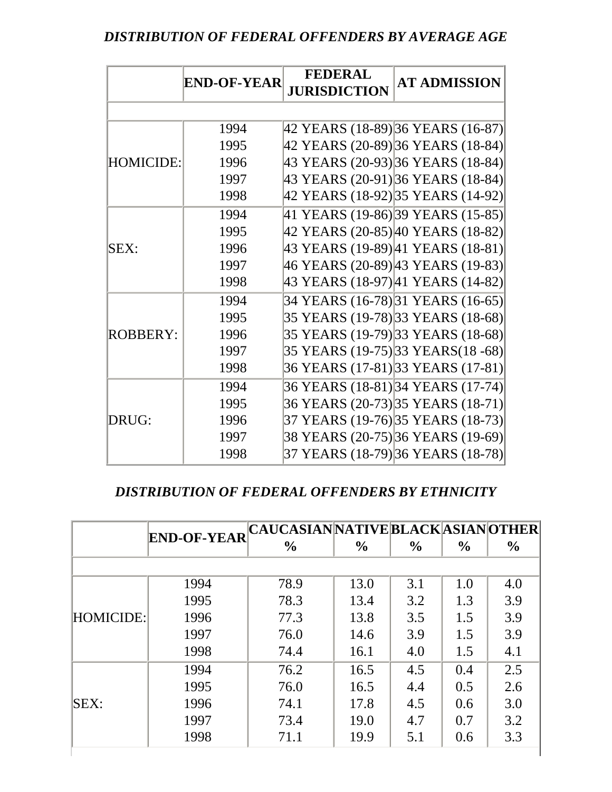#### *DISTRIBUTION OF FEDERAL OFFENDERS BY AVERAGE AGE*

|                  |                    | <b>FEDERAL</b>                    | <b>AT ADMISSION</b>                 |
|------------------|--------------------|-----------------------------------|-------------------------------------|
|                  | <b>END-OF-YEAR</b> | <b>JURISDICTION</b>               |                                     |
|                  |                    |                                   |                                     |
|                  | 1994               | 42 YEARS (18-89) 36 YEARS (16-87) |                                     |
|                  | 1995               |                                   | 42 YEARS (20-89) 36 YEARS (18-84)   |
| <b>HOMICIDE:</b> | 1996               |                                   | 43 YEARS (20-93) 36 YEARS (18-84)   |
|                  | 1997               |                                   | 43 YEARS (20-91) 36 YEARS (18-84)   |
|                  | 1998               | 42 YEARS (18-92) 35 YEARS (14-92) |                                     |
|                  | 1994               |                                   | 41 YEARS (19-86) 39 YEARS (15-85)   |
|                  | 1995               |                                   | 42 YEARS (20-85) 40 YEARS (18-82)   |
| SEX:             | 1996               |                                   | 43 YEARS (19-89) 41 YEARS (18-81)   |
|                  | 1997               |                                   | 46 YEARS (20-89) 43 YEARS (19-83)   |
|                  | 1998               |                                   | 43 YEARS (18-97) 41 YEARS (14-82)   |
|                  | 1994               |                                   | 34 YEARS (16-78) 31 YEARS (16-65)   |
|                  | 1995               |                                   | 35 YEARS (19-78) 33 YEARS (18-68)   |
| <b>ROBBERY:</b>  | 1996               |                                   | 35 YEARS (19-79) 33 YEARS (18-68)   |
|                  | 1997               |                                   | 35 YEARS (19-75) 33 YEARS (18 - 68) |
|                  | 1998               |                                   | 36 YEARS (17-81) 33 YEARS (17-81)   |
|                  | 1994               |                                   | 36 YEARS (18-81) 34 YEARS (17-74)   |
|                  | 1995               |                                   | 36 YEARS (20-73) 35 YEARS (18-71)   |
| DRUG:            | 1996               |                                   | 37 YEARS (19-76) 35 YEARS (18-73)   |
|                  | 1997               |                                   | 38 YEARS (20-75) 36 YEARS (19-69)   |
|                  | 1998               |                                   | 37 YEARS (18-79) 36 YEARS (18-78)   |

#### *DISTRIBUTION OF FEDERAL OFFENDERS BY ETHNICITY*

|           | <b>END-OF-YEAR</b> | CAUCASIAN NATIVE BLACK ASIAN OTHER |               |               |               |      |
|-----------|--------------------|------------------------------------|---------------|---------------|---------------|------|
|           |                    | $\frac{0}{0}$                      | $\frac{0}{0}$ | $\frac{0}{0}$ | $\frac{0}{0}$ | $\%$ |
|           |                    |                                    |               |               |               |      |
|           | 1994               | 78.9                               | 13.0          | 3.1           | 1.0           | 4.0  |
| HOMICIDE: | 1995               | 78.3                               | 13.4          | 3.2           | 1.3           | 3.9  |
|           | 1996               | 77.3                               | 13.8          | 3.5           | 1.5           | 3.9  |
|           | 1997               | 76.0                               | 14.6          | 3.9           | 1.5           | 3.9  |
|           | 1998               | 74.4                               | 16.1          | 4.0           | 1.5           | 4.1  |
|           | 1994               | 76.2                               | 16.5          | 4.5           | 0.4           | 2.5  |
|           | 1995               | 76.0                               | 16.5          | 4.4           | 0.5           | 2.6  |
| SEX:      | 1996               | 74.1                               | 17.8          | 4.5           | 0.6           | 3.0  |
|           | 1997               | 73.4                               | 19.0          | 4.7           | 0.7           | 3.2  |
|           | 1998               | 71.1                               | 19.9          | 5.1           | 0.6           | 3.3  |